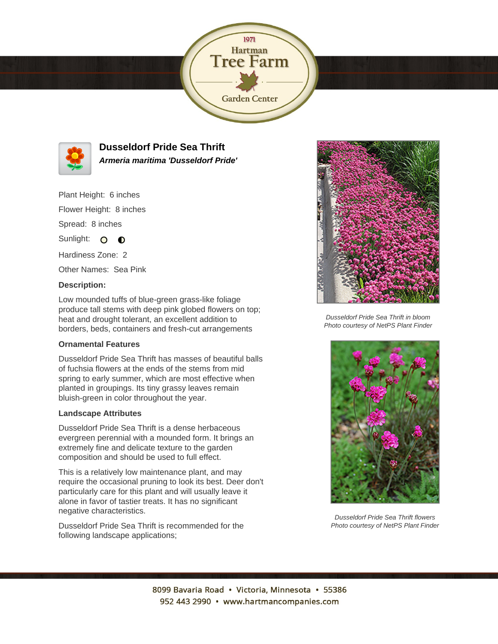



**Dusseldorf Pride Sea Thrift Armeria maritima 'Dusseldorf Pride'**

Plant Height: 6 inches

Flower Height: 8 inches

Spread: 8 inches

Sunlight: O **O** 

Hardiness Zone: 2

Other Names: Sea Pink

## **Description:**

Low mounded tuffs of blue-green grass-like foliage produce tall stems with deep pink globed flowers on top; heat and drought tolerant, an excellent addition to borders, beds, containers and fresh-cut arrangements

## **Ornamental Features**

Dusseldorf Pride Sea Thrift has masses of beautiful balls of fuchsia flowers at the ends of the stems from mid spring to early summer, which are most effective when planted in groupings. Its tiny grassy leaves remain bluish-green in color throughout the year.

## **Landscape Attributes**

Dusseldorf Pride Sea Thrift is a dense herbaceous evergreen perennial with a mounded form. It brings an extremely fine and delicate texture to the garden composition and should be used to full effect.

This is a relatively low maintenance plant, and may require the occasional pruning to look its best. Deer don't particularly care for this plant and will usually leave it alone in favor of tastier treats. It has no significant negative characteristics.

Dusseldorf Pride Sea Thrift is recommended for the following landscape applications;



Dusseldorf Pride Sea Thrift in bloom Photo courtesy of NetPS Plant Finder



Dusseldorf Pride Sea Thrift flowers Photo courtesy of NetPS Plant Finder